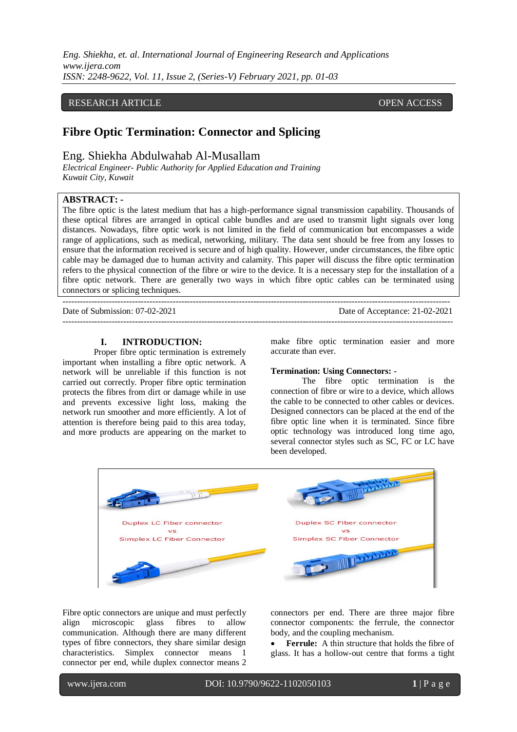*Eng. Shiekha, et. al. International Journal of Engineering Research and Applications www.ijera.com ISSN: 2248-9622, Vol. 11, Issue 2, (Series-V) February 2021, pp. 01-03*

## RESEARCH ARTICLE **CONSERVERS** OPEN ACCESS

# **Fibre Optic Termination: Connector and Splicing**

## Eng. Shiekha Abdulwahab Al-Musallam

*Electrical Engineer- Public Authority for Applied Education and Training Kuwait City, Kuwait*

## **ABSTRACT: -**

The fibre optic is the latest medium that has a high-performance signal transmission capability. Thousands of these optical fibres are arranged in optical cable bundles and are used to transmit light signals over long distances. Nowadays, fibre optic work is not limited in the field of communication but encompasses a wide range of applications, such as medical, networking, military. The data sent should be free from any losses to ensure that the information received is secure and of high quality. However, under circumstances, the fibre optic cable may be damaged due to human activity and calamity. This paper will discuss the fibre optic termination refers to the physical connection of the fibre or wire to the device. It is a necessary step for the installation of a fibre optic network. There are generally two ways in which fibre optic cables can be terminated using connectors or splicing techniques.

--------------------------------------------------------------------------------------------------------------------------------------

 $-1\leq i\leq n-1\leq n-1\leq n-1\leq n-1\leq n-1\leq n-1\leq n-1\leq n-1\leq n-1\leq n-1\leq n-1\leq n-1\leq n-1\leq n-1\leq n-1\leq n-1\leq n-1\leq n-1\leq n-1\leq n-1\leq n-1\leq n-1\leq n-1\leq n-1\leq n-1\leq n-1\leq n-1\leq n-1\leq n-1\leq n-1\leq n-1\leq n-1\leq n-1\leq n-1\leq n-1\leq n$ 

Date of Submission: 07-02-2021 Date of Acceptance: 21-02-2021

#### **I. INTRODUCTION:**

Proper fibre optic termination is extremely important when installing a fibre optic network. A network will be unreliable if this function is not carried out correctly. Proper fibre optic termination protects the fibres from dirt or damage while in use and prevents excessive light loss, making the network run smoother and more efficiently. A lot of attention is therefore being paid to this area today, and more products are appearing on the market to make fibre optic termination easier and more accurate than ever.

### **Termination: Using Connectors: -**

The fibre optic termination is the connection of fibre or wire to a device, which allows the cable to be connected to other cables or devices. Designed connectors can be placed at the end of the fibre optic line when it is terminated. Since fibre optic technology was introduced long time ago, several connector styles such as SC, FC or LC have been developed.



Fibre optic connectors are unique and must perfectly align microscopic glass fibres to allow communication. Although there are many different types of fibre connectors, they share similar design characteristics. Simplex connector means 1 connector per end, while duplex connector means 2 connectors per end. There are three major fibre connector components: the ferrule, the connector body, and the coupling mechanism.

 **Ferrule:** A thin structure that holds the fibre of glass. It has a hollow-out centre that forms a tight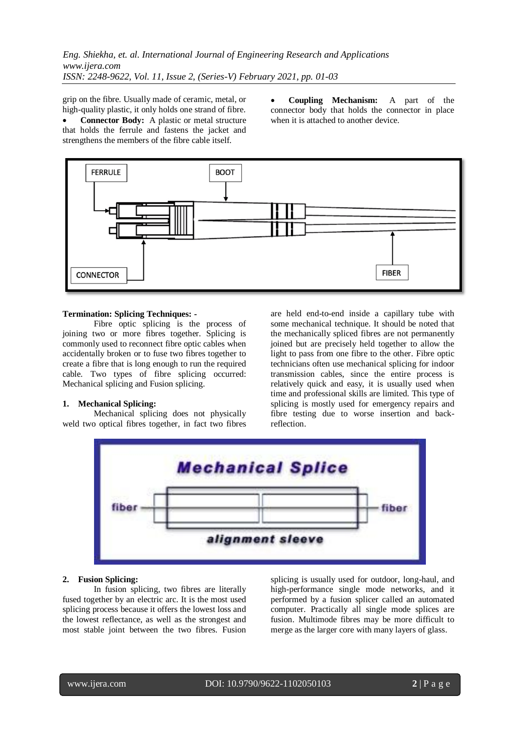*Eng. Shiekha, et. al. International Journal of Engineering Research and Applications www.ijera.com ISSN: 2248-9622, Vol. 11, Issue 2, (Series-V) February 2021, pp. 01-03*

grip on the fibre. Usually made of ceramic, metal, or high-quality plastic, it only holds one strand of fibre.

 **Connector Body:** A plastic or metal structure that holds the ferrule and fastens the jacket and strengthens the members of the fibre cable itself.

 **Coupling Mechanism:** A part of the connector body that holds the connector in place when it is attached to another device.



#### **Termination: Splicing Techniques: -**

Fibre optic splicing is the process of joining two or more fibres together. Splicing is commonly used to reconnect fibre optic cables when accidentally broken or to fuse two fibres together to create a fibre that is long enough to run the required cable. Two types of fibre splicing occurred: Mechanical splicing and Fusion splicing.

### **1. Mechanical Splicing:**

Mechanical splicing does not physically weld two optical fibres together, in fact two fibres are held end-to-end inside a capillary tube with some mechanical technique. It should be noted that the mechanically spliced fibres are not permanently joined but are precisely held together to allow the light to pass from one fibre to the other. Fibre optic technicians often use mechanical splicing for indoor transmission cables, since the entire process is relatively quick and easy, it is usually used when time and professional skills are limited. This type of splicing is mostly used for emergency repairs and fibre testing due to worse insertion and backreflection.



#### **2. Fusion Splicing:**

In fusion splicing, two fibres are literally fused together by an electric arc. It is the most used splicing process because it offers the lowest loss and the lowest reflectance, as well as the strongest and most stable joint between the two fibres. Fusion splicing is usually used for outdoor, long-haul, and high-performance single mode networks, and it performed by a fusion splicer called an automated computer. Practically all single mode splices are fusion. Multimode fibres may be more difficult to merge as the larger core with many layers of glass.